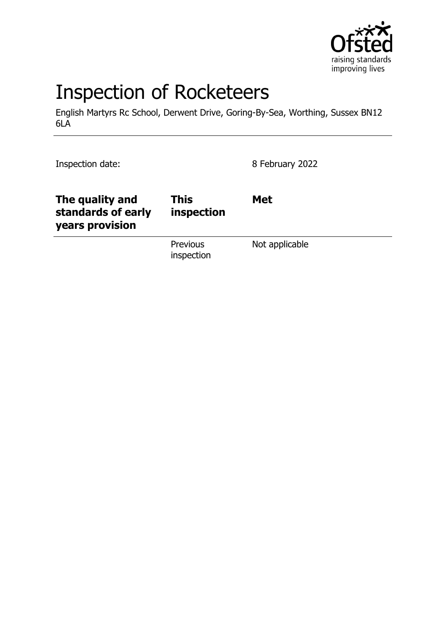

# Inspection of Rocketeers

English Martyrs Rc School, Derwent Drive, Goring-By-Sea, Worthing, Sussex BN12 6LA

Inspection date: 8 February 2022

| The quality and<br>standards of early<br>years provision | This<br>inspection            | <b>Met</b>     |
|----------------------------------------------------------|-------------------------------|----------------|
|                                                          | <b>Previous</b><br>inspection | Not applicable |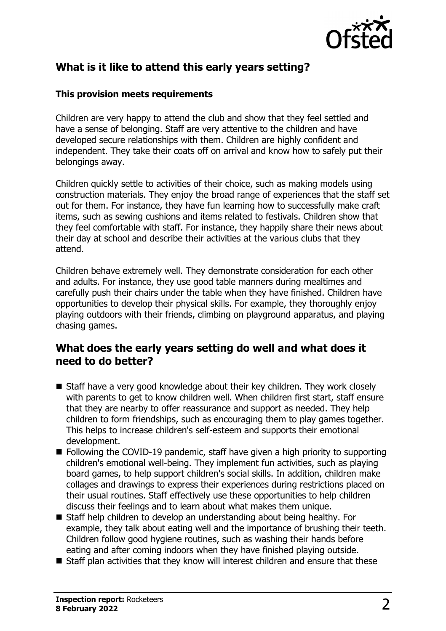

## **What is it like to attend this early years setting?**

#### **This provision meets requirements**

Children are very happy to attend the club and show that they feel settled and have a sense of belonging. Staff are very attentive to the children and have developed secure relationships with them. Children are highly confident and independent. They take their coats off on arrival and know how to safely put their belongings away.

Children quickly settle to activities of their choice, such as making models using construction materials. They enjoy the broad range of experiences that the staff set out for them. For instance, they have fun learning how to successfully make craft items, such as sewing cushions and items related to festivals. Children show that they feel comfortable with staff. For instance, they happily share their news about their day at school and describe their activities at the various clubs that they attend.

Children behave extremely well. They demonstrate consideration for each other and adults. For instance, they use good table manners during mealtimes and carefully push their chairs under the table when they have finished. Children have opportunities to develop their physical skills. For example, they thoroughly enjoy playing outdoors with their friends, climbing on playground apparatus, and playing chasing games.

## **What does the early years setting do well and what does it need to do better?**

- $\blacksquare$  Staff have a very good knowledge about their key children. They work closely with parents to get to know children well. When children first start, staff ensure that they are nearby to offer reassurance and support as needed. They help children to form friendships, such as encouraging them to play games together. This helps to increase children's self-esteem and supports their emotional development.
- $\blacksquare$  Following the COVID-19 pandemic, staff have given a high priority to supporting children's emotional well-being. They implement fun activities, such as playing board games, to help support children's social skills. In addition, children make collages and drawings to express their experiences during restrictions placed on their usual routines. Staff effectively use these opportunities to help children discuss their feelings and to learn about what makes them unique.
- Staff help children to develop an understanding about being healthy. For example, they talk about eating well and the importance of brushing their teeth. Children follow good hygiene routines, such as washing their hands before eating and after coming indoors when they have finished playing outside.
- $\blacksquare$  Staff plan activities that they know will interest children and ensure that these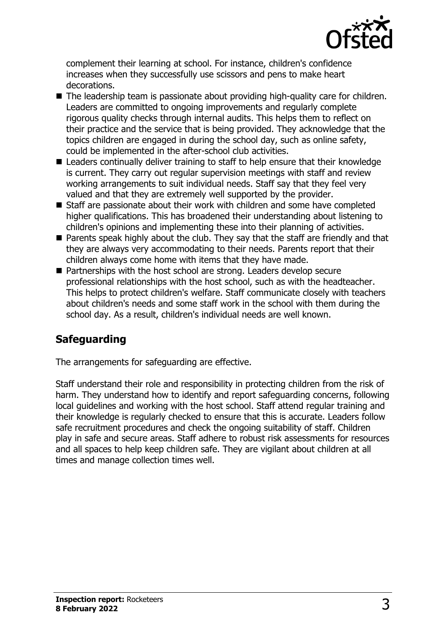

complement their learning at school. For instance, children's confidence increases when they successfully use scissors and pens to make heart decorations.

- $\blacksquare$  The leadership team is passionate about providing high-quality care for children. Leaders are committed to ongoing improvements and regularly complete rigorous quality checks through internal audits. This helps them to reflect on their practice and the service that is being provided. They acknowledge that the topics children are engaged in during the school day, such as online safety, could be implemented in the after-school club activities.
- $\blacksquare$  Leaders continually deliver training to staff to help ensure that their knowledge is current. They carry out regular supervision meetings with staff and review working arrangements to suit individual needs. Staff say that they feel very valued and that they are extremely well supported by the provider.
- $\blacksquare$  Staff are passionate about their work with children and some have completed higher qualifications. This has broadened their understanding about listening to children's opinions and implementing these into their planning of activities.
- $\blacksquare$  Parents speak highly about the club. They say that the staff are friendly and that they are always very accommodating to their needs. Parents report that their children always come home with items that they have made.
- Partnerships with the host school are strong. Leaders develop secure professional relationships with the host school, such as with the headteacher. This helps to protect children's welfare. Staff communicate closely with teachers about children's needs and some staff work in the school with them during the school day. As a result, children's individual needs are well known.

# **Safeguarding**

The arrangements for safeguarding are effective.

Staff understand their role and responsibility in protecting children from the risk of harm. They understand how to identify and report safeguarding concerns, following local guidelines and working with the host school. Staff attend regular training and their knowledge is regularly checked to ensure that this is accurate. Leaders follow safe recruitment procedures and check the ongoing suitability of staff. Children play in safe and secure areas. Staff adhere to robust risk assessments for resources and all spaces to help keep children safe. They are vigilant about children at all times and manage collection times well.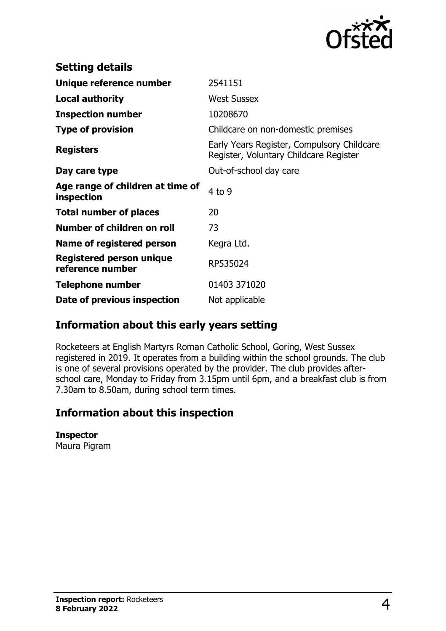

| <b>Setting details</b>                         |                                                                                      |
|------------------------------------------------|--------------------------------------------------------------------------------------|
| Unique reference number                        | 2541151                                                                              |
| <b>Local authority</b>                         | <b>West Sussex</b>                                                                   |
| <b>Inspection number</b>                       | 10208670                                                                             |
| <b>Type of provision</b>                       | Childcare on non-domestic premises                                                   |
| <b>Registers</b>                               | Early Years Register, Compulsory Childcare<br>Register, Voluntary Childcare Register |
| Day care type                                  | Out-of-school day care                                                               |
| Age range of children at time of<br>inspection | $4$ to 9                                                                             |
| <b>Total number of places</b>                  | 20                                                                                   |
| Number of children on roll                     | 73                                                                                   |
| Name of registered person                      | Kegra Ltd.                                                                           |
| Registered person unique<br>reference number   | RP535024                                                                             |
| <b>Telephone number</b>                        | 01403 371020                                                                         |
| Date of previous inspection                    | Not applicable                                                                       |

## **Information about this early years setting**

Rocketeers at English Martyrs Roman Catholic School, Goring, West Sussex registered in 2019. It operates from a building within the school grounds. The club is one of several provisions operated by the provider. The club provides afterschool care, Monday to Friday from 3.15pm until 6pm, and a breakfast club is from 7.30am to 8.50am, during school term times.

## **Information about this inspection**

#### **Inspector**

Maura Pigram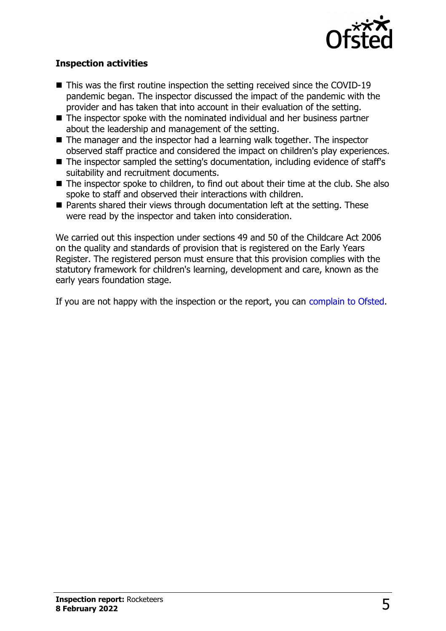

### **Inspection activities**

- $\blacksquare$  This was the first routine inspection the setting received since the COVID-19 pandemic began. The inspector discussed the impact of the pandemic with the provider and has taken that into account in their evaluation of the setting.
- $\blacksquare$  The inspector spoke with the nominated individual and her business partner about the leadership and management of the setting.
- $\blacksquare$  The manager and the inspector had a learning walk together. The inspector observed staff practice and considered the impact on children's play experiences.
- $\blacksquare$  The inspector sampled the setting's documentation, including evidence of staff's suitability and recruitment documents.
- $\blacksquare$  The inspector spoke to children, to find out about their time at the club. She also spoke to staff and observed their interactions with children.
- $\blacksquare$  Parents shared their views through documentation left at the setting. These were read by the inspector and taken into consideration.

We carried out this inspection under sections 49 and 50 of the Childcare Act 2006 on the quality and standards of provision that is registered on the Early Years Register. The registered person must ensure that this provision complies with the statutory framework for children's learning, development and care, known as the early years foundation stage.

If you are not happy with the inspection or the report, you can [complain to Ofsted](http://www.gov.uk/complain-ofsted-report).